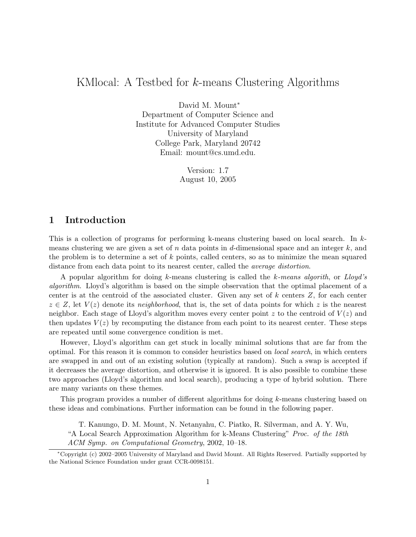# KMlocal: A Testbed for k-means Clustering Algorithms

David M. Mount<sup>∗</sup>

Department of Computer Science and Institute for Advanced Computer Studies University of Maryland College Park, Maryland 20742 Email: mount@cs.umd.edu.

> Version: 1.7 August 10, 2005

## **1 Introduction**

This is a collection of programs for performing k-means clustering based on local search. In kmeans clustering we are given a set of n data points in d-dimensional space and an integer  $k$ , and the problem is to determine a set of  $k$  points, called centers, so as to minimize the mean squared distance from each data point to its nearest center, called the *average distortion*.

A popular algorithm for doing k-means clustering is called the k*-means algorith*, or *Lloyd's algorithm*. Lloyd's algorithm is based on the simple observation that the optimal placement of a center is at the centroid of the associated cluster. Given any set of  $k$  centers  $Z$ , for each center  $z \in Z$ , let  $V(z)$  denote its *neighborhood*, that is, the set of data points for which z is the nearest neighbor. Each stage of Lloyd's algorithm moves every center point z to the centroid of  $V(z)$  and then updates  $V(z)$  by recomputing the distance from each point to its nearest center. These steps are repeated until some convergence condition is met.

However, Lloyd's algorithm can get stuck in locally minimal solutions that are far from the optimal. For this reason it is common to consider heuristics based on *local search*, in which centers are swapped in and out of an existing solution (typically at random). Such a swap is accepted if it decreases the average distortion, and otherwise it is ignored. It is also possible to combine these two approaches (Lloyd's algorithm and local search), producing a type of hybrid solution. There are many variants on these themes.

This program provides a number of different algorithms for doing k-means clustering based on these ideas and combinations. Further information can be found in the following paper.

T. Kanungo, D. M. Mount, N. Netanyahu, C. Piatko, R. Silverman, and A. Y. Wu, "A Local Search Approximation Algorithm for k-Means Clustering" *Proc. of the 18th ACM Symp. on Computational Geometry*, 2002, 10–18.

<sup>∗</sup>Copyright (c) 2002–2005 University of Maryland and David Mount. All Rights Reserved. Partially supported by the National Science Foundation under grant CCR-0098151.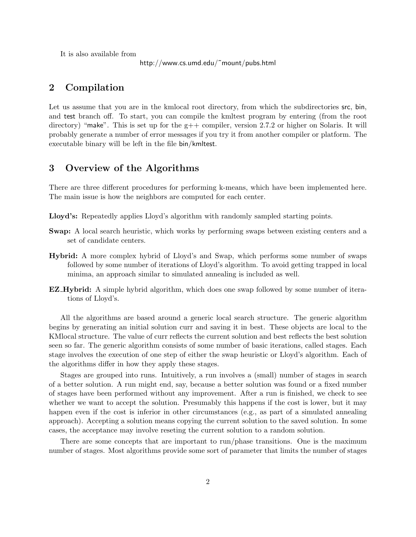It is also available from

http://www.cs.umd.edu/˜mount/pubs.html

## **2 Compilation**

Let us assume that you are in the kmlocal root directory, from which the subdirectories src, bin, and test branch off. To start, you can compile the kmltest program by entering (from the root directory) "make". This is set up for the  $g++$  compiler, version 2.7.2 or higher on Solaris. It will probably generate a number of error messages if you try it from another compiler or platform. The executable binary will be left in the file bin/kmltest.

## **3 Overview of the Algorithms**

There are three different procedures for performing k-means, which have been implemented here. The main issue is how the neighbors are computed for each center.

**Lloyd's:** Repeatedly applies Lloyd's algorithm with randomly sampled starting points.

- **Swap:** A local search heuristic, which works by performing swaps between existing centers and a set of candidate centers.
- **Hybrid:** A more complex hybrid of Lloyd's and Swap, which performs some number of swaps followed by some number of iterations of Lloyd's algorithm. To avoid getting trapped in local minima, an approach similar to simulated annealing is included as well.
- **EZ Hybrid:** A simple hybrid algorithm, which does one swap followed by some number of iterations of Lloyd's.

All the algorithms are based around a generic local search structure. The generic algorithm begins by generating an initial solution curr and saving it in best. These objects are local to the KMlocal structure. The value of curr reflects the current solution and best reflects the best solution seen so far. The generic algorithm consists of some number of basic iterations, called stages. Each stage involves the execution of one step of either the swap heuristic or Lloyd's algorithm. Each of the algorithms differ in how they apply these stages.

Stages are grouped into runs. Intuitively, a run involves a (small) number of stages in search of a better solution. A run might end, say, because a better solution was found or a fixed number of stages have been performed without any improvement. After a run is finished, we check to see whether we want to accept the solution. Presumably this happens if the cost is lower, but it may happen even if the cost is inferior in other circumstances (e.g., as part of a simulated annealing approach). Accepting a solution means copying the current solution to the saved solution. In some cases, the acceptance may involve reseting the current solution to a random solution.

There are some concepts that are important to run/phase transitions. One is the maximum number of stages. Most algorithms provide some sort of parameter that limits the number of stages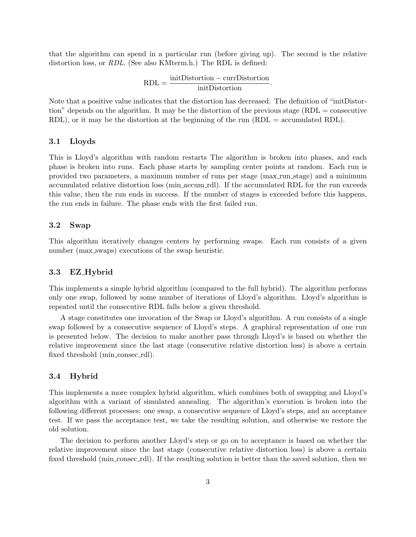that the algorithm can spend in a particular run (before giving up). The second is the relative distortion loss, or *RDL*. (See also KMterm.h.) The RDL is defined:

$$
RDL = \frac{initDistortion - currDistortion}{initDistortion}.
$$

Note that a positive value indicates that the distortion has decreased. The definition of "initDistortion" depends on the algorithm. It may be the distortion of the previous stage (RDL = consecutive RDL), or it may be the distortion at the beginning of the run  $(RDL = accumulated RDL)$ .

#### **3.1 Lloyds**

This is Lloyd's algorithm with random restarts The algorithm is broken into phases, and each phase is broken into runs. Each phase starts by sampling center points at random. Each run is provided two parameters, a maximum number of runs per stage (max run stage) and a minimum accumulated relative distortion loss (min accum rdl). If the accumulated RDL for the run exceeds this value, then the run ends in success. If the number of stages is exceeded before this happens, the run ends in failure. The phase ends with the first failed run.

## **3.2 Swap**

This algorithm iteratively changes centers by performing swaps. Each run consists of a given number (max swaps) executions of the swap heuristic.

## **3.3 EZ Hybrid**

This implements a simple hybrid algorithm (compared to the full hybrid). The algorithm performs only one swap, followed by some number of iterations of Lloyd's algorithm. Lloyd's algorithm is repeated until the consecutive RDL falls below a given threshold.

A stage constitutes one invocation of the Swap or Lloyd's algorithm. A run consists of a single swap followed by a consecutive sequence of Lloyd's steps. A graphical representation of one run is presented below. The decision to make another pass through Lloyd's is based on whether the relative improvement since the last stage (consecutive relative distortion loss) is above a certain fixed threshold (min consec rdl).

#### **3.4 Hybrid**

This implements a more complex hybrid algorithm, which combines both of swapping and Lloyd's algorithm with a variant of simulated annealing. The algorithm's execution is broken into the following different processes: one swap, a consecutive sequence of Lloyd's steps, and an acceptance test. If we pass the acceptance test, we take the resulting solution, and otherwise we restore the old solution.

The decision to perform another Lloyd's step or go on to acceptance is based on whether the relative improvement since the last stage (consecutive relative distortion loss) is above a certain fixed threshold (min consec rdl). If the resulting solution is better than the saved solution, then we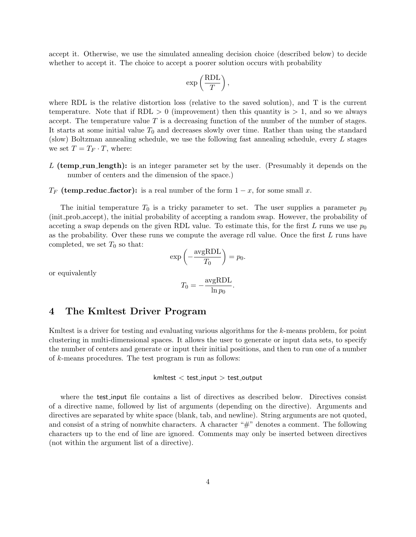accept it. Otherwise, we use the simulated annealing decision choice (described below) to decide whether to accept it. The choice to accept a poorer solution occurs with probability

$$
\exp\left(\frac{\text{RDL}}{T}\right),\,
$$

where RDL is the relative distortion loss (relative to the saved solution), and T is the current temperature. Note that if  $RDL > 0$  (improvement) then this quantity is  $> 1$ , and so we always accept. The temperature value  $T$  is a decreasing function of the number of the number of stages. It starts at some initial value  $T_0$  and decreases slowly over time. Rather than using the standard (slow) Boltzman annealing schedule, we use the following fast annealing schedule, every L stages we set  $T = T_F \cdot T$ , where:

- L (temp\_run\_length): is an integer parameter set by the user. (Presumably it depends on the number of centers and the dimension of the space.)
- $T_F$  (temp\_reduc\_factor): is a real number of the form  $1-x$ , for some small x.

The initial temperature  $T_0$  is a tricky parameter to set. The user supplies a parameter  $p_0$ (init prob accept), the initial probability of accepting a random swap. However, the probability of acceting a swap depends on the given RDL value. To estimate this, for the first L runs we use  $p_0$ as the probability. Over these runs we compute the average rdl value. Once the first  $L$  runs have completed, we set  $T_0$  so that:

$$
\exp\left(-\frac{\text{avgRDL}}{T_0}\right) = p_0.
$$

or equivalently

$$
T_0 = -\frac{\text{avgRDL}}{\ln p_0}.
$$

## **4 The Kmltest Driver Program**

Kmltest is a driver for testing and evaluating various algorithms for the k-means problem, for point clustering in multi-dimensional spaces. It allows the user to generate or input data sets, to specify the number of centers and generate or input their initial positions, and then to run one of a number of k-means procedures. The test program is run as follows:

#### $k$ mltest  $\lt$  test\_input  $>$  test\_output

where the test-input file contains a list of directives as described below. Directives consist of a directive name, followed by list of arguments (depending on the directive). Arguments and directives are separated by white space (blank, tab, and newline). String arguments are not quoted, and consist of a string of nonwhite characters. A character " $\#$ " denotes a comment. The following characters up to the end of line are ignored. Comments may only be inserted between directives (not within the argument list of a directive).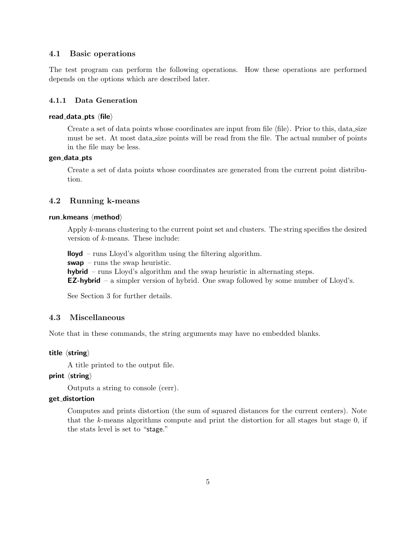## **4.1 Basic operations**

The test program can perform the following operations. How these operations are performed depends on the options which are described later.

## **4.1.1 Data Generation**

#### **read\_data\_pts**  $\langle$ **file** $\rangle$

Create a set of data points whose coordinates are input from file  $\langle$  file). Prior to this, data size must be set. At most data size points will be read from the file. The actual number of points in the file may be less.

#### **gen data pts**

Create a set of data points whose coordinates are generated from the current point distribution.

## **4.2 Running k-means**

#### *run\_kmeans*  $\langle$  method $\rangle$

Apply k-means clustering to the current point set and clusters. The string specifies the desired version of k-means. These include:

**lloyd** – runs Lloyd's algorithm using the filtering algorithm.

**swap** – runs the swap heuristic.

**hybrid** – runs Lloyd's algorithm and the swap heuristic in alternating steps.

**EZ-hybrid** – a simpler version of hybrid. One swap followed by some number of Lloyd's.

See Section 3 for further details.

## **4.3 Miscellaneous**

Note that in these commands, the string arguments may have no embedded blanks.

#### title  $\langle$ string $\rangle$

A title printed to the output file.

## **print**  $\langle$ **string** $\rangle$

Outputs a string to console (cerr).

### **get distortion**

Computes and prints distortion (the sum of squared distances for the current centers). Note that the  $k$ -means algorithms compute and print the distortion for all stages but stage  $0$ , if the stats level is set to "stage."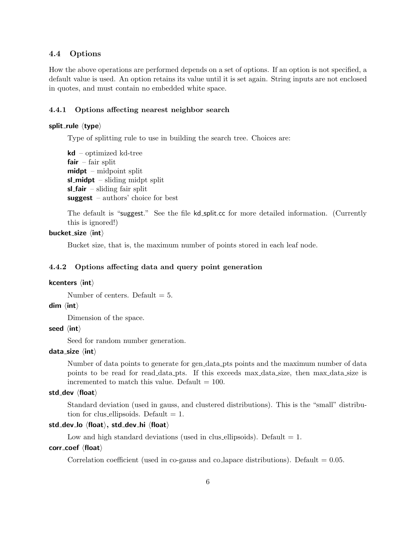## **4.4 Options**

How the above operations are performed depends on a set of options. If an option is not specified, a default value is used. An option retains its value until it is set again. String inputs are not enclosed in quotes, and must contain no embedded white space.

#### **4.4.1 Options affecting nearest neighbor search**

#### **split\_rule**  $\langle$ **type** $\rangle$

Type of splitting rule to use in building the search tree. Choices are:

**kd** – optimized kd-tree **fair** – fair split **midpt** – midpoint split **sl midpt** – sliding midpt split **sl fair** – sliding fair split **suggest** – authors' choice for best

The default is "suggest." See the file kd\_split.cc for more detailed information. (Currently this is ignored!)

## **bucket\_size**  $\langle \text{int} \rangle$

Bucket size, that is, the maximum number of points stored in each leaf node.

## **4.4.2 Options affecting data and query point generation**

## **kcenters**  $\langle \text{int} \rangle$

Number of centers. Default  $= 5$ .

## **dim**  $\langle \text{int} \rangle$

Dimension of the space.

#### **seed**  $\langle \text{int} \rangle$

Seed for random number generation.

#### **data\_size**  $\langle \text{int} \rangle$

Number of data points to generate for gen data pts points and the maximum number of data points to be read for read data pts. If this exceeds max data size, then max data size is incremented to match this value. Default  $= 100$ .

#### std\_dev  $\langle$ float $\rangle$

Standard deviation (used in gauss, and clustered distributions). This is the "small" distribution for clus ellipsoids. Default  $= 1$ .

## **std\_dev\_lo**  $\langle$  float $\rangle$ , std\_dev\_hi  $\langle$  float $\rangle$

Low and high standard deviations (used in clus ellipsoids). Default  $= 1$ .

### **corr\_coef**  $\langle$ **float** $\rangle$

Correlation coefficient (used in co-gauss and co-lapace distributions). Default  $= 0.05$ .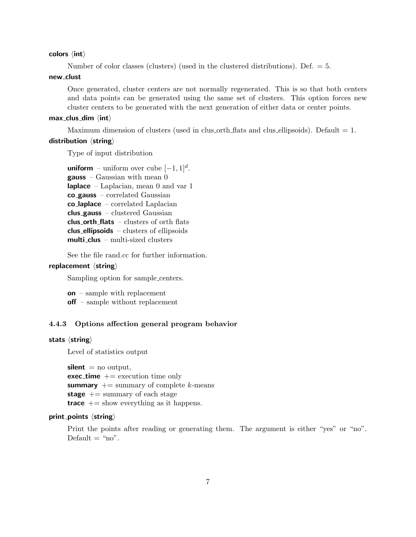### **colors**  $\langle \text{int} \rangle$

Number of color classes (clusters) (used in the clustered distributions). Def. = 5.

## **new clust**

Once generated, cluster centers are not normally regenerated. This is so that both centers and data points can be generated using the same set of clusters. This option forces new cluster centers to be generated with the next generation of either data or center points.

#### **max\_clus\_dim**  $\langle \text{int} \rangle$

Maximum dimension of clusters (used in clus orth flats and clus ellipsoids). Default  $= 1$ .

## **distribution**  $\langle$ **string** $\rangle$

Type of input distribution

```
uniform – uniform over cube [-1, 1]^d.
gauss – Gaussian with mean 0
laplace – Laplacian, mean 0 and var 1
co gauss – correlated Gaussian
co laplace – correlated Laplacian
clus gauss – clustered Gaussian
clus orth flats – clusters of orth flats
clus ellipsoids – clusters of ellipsoids
multi clus – multi-sized clusters
```
See the file rand.cc for further information.

## **replacement**  $\langle$ **string** $\rangle$

Sampling option for sample centers.

**on** – sample with replacement

**off** – sample without replacement

### **4.4.3 Options affection general program behavior**

#### stats  $\langle$ string $\rangle$

Level of statistics output

 $\textbf{silent} = \text{no output},$ **exec\_time**  $+=$  execution time only **summary**  $+=$  summary of complete k-means **stage**  $+=$  summary of each stage **trace**  $+=$  show everything as it happens.

## **print\_points**  $\langle$ **string** $\rangle$

Print the points after reading or generating them. The argument is either "yes" or "no". Default  $=$  "no".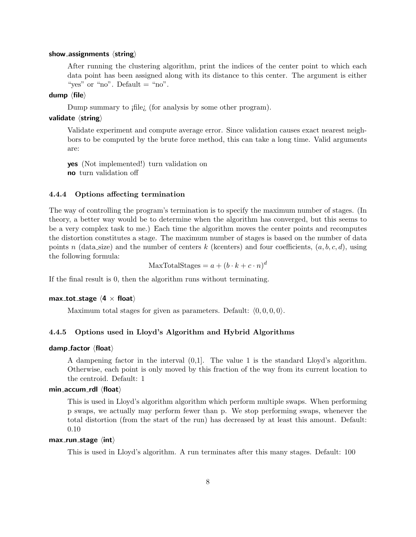#### **show\_assignments**  $\langle$ **string** $\rangle$

After running the clustering algorithm, print the indices of the center point to which each data point has been assigned along with its distance to this center. The argument is either "yes" or "no". Default  $=$  "no".

#### **dump**  $\langle$ **file** $\rangle$

Dump summary to *ifilei*. (for analysis by some other program).

#### **validate**  $\langle$ **string** $\rangle$

Validate experiment and compute average error. Since validation causes exact nearest neighbors to be computed by the brute force method, this can take a long time. Valid arguments are:

**yes** (Not implemented!) turn validation on **no** turn validation off

#### **4.4.4 Options affecting termination**

The way of controlling the program's termination is to specify the maximum number of stages. (In theory, a better way would be to determine when the algorithm has converged, but this seems to be a very complex task to me.) Each time the algorithm moves the center points and recomputes the distortion constitutes a stage. The maximum number of stages is based on the number of data points n (data size) and the number of centers k (kcenters) and four coefficients,  $(a, b, c, d)$ , using the following formula:

MaxTotalStages =  $a + (b \cdot k + c \cdot n)^d$ 

If the final result is 0, then the algorithm runs without terminating.

## **max\_tot\_stage**  $\langle 4 \times \text{float} \rangle$

Maximum total stages for given as parameters. Default:  $(0, 0, 0, 0)$ .

#### **4.4.5 Options used in Lloyd's Algorithm and Hybrid Algorithms**

#### **damp\_factor**  $\langle$ **float** $\rangle$

A dampening factor in the interval (0,1]. The value 1 is the standard Lloyd's algorithm. Otherwise, each point is only moved by this fraction of the way from its current location to the centroid. Default: 1

#### **min\_accum\_rdl**  $\langle$ **float** $\rangle$

This is used in Lloyd's algorithm algorithm which perform multiple swaps. When performing p swaps, we actually may perform fewer than p. We stop performing swaps, whenever the total distortion (from the start of the run) has decreased by at least this amount. Default: 0.10

#### **max\_run\_stage**  $\langle \text{int} \rangle$

This is used in Lloyd's algorithm. A run terminates after this many stages. Default: 100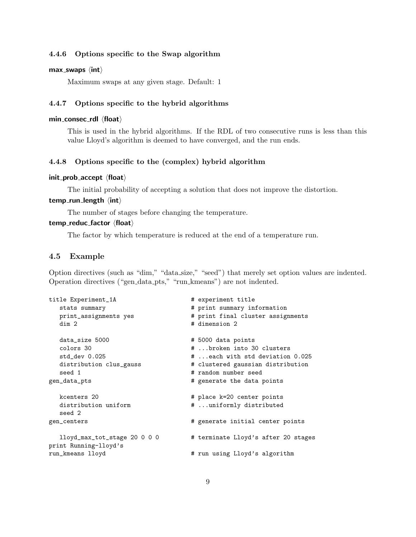## **4.4.6 Options specific to the Swap algorithm**

#### **max\_swaps**  $\langle \text{int} \rangle$

Maximum swaps at any given stage. Default: 1

#### **4.4.7 Options specific to the hybrid algorithms**

## **min\_consec\_rdl**  $\langle$  float $\rangle$

This is used in the hybrid algorithms. If the RDL of two consecutive runs is less than this value Lloyd's algorithm is deemed to have converged, and the run ends.

## **4.4.8 Options specific to the (complex) hybrid algorithm**

#### **init\_prob\_accept**  $\langle$ **float** $\rangle$

The initial probability of accepting a solution that does not improve the distortion.

## **temp\_run\_length**  $\langle \text{int} \rangle$

The number of stages before changing the temperature.

## **temp\_reduc\_factor**  $\langle$ **float** $\rangle$

The factor by which temperature is reduced at the end of a temperature run.

## **4.5 Example**

Option directives (such as "dim," "data size," "seed") that merely set option values are indented. Operation directives ("gen data pts," "run kmeans") are not indented.

| title Experiment_1A                                       | # experiment title                  |
|-----------------------------------------------------------|-------------------------------------|
| stats summary                                             | # print summary information         |
| print_assignments yes                                     | # print final cluster assignments   |
| dim 2                                                     | # dimension 2                       |
| data_size 5000                                            | # 5000 data points                  |
| colors 30                                                 | # broken into 30 clusters           |
| std_dev 0.025                                             | # each with std deviation 0.025     |
| distribution clus_gauss                                   | # clustered gaussian distribution   |
| seed 1                                                    | # random number seed                |
| gen_data_pts                                              | # generate the data points          |
| kcenters 20                                               | # place k=20 center points          |
| distribution uniform                                      | # uniformly distributed             |
| seed 2                                                    |                                     |
| gen_centers                                               | # generate initial center points    |
| $lloyd_max_to t\_stage 20 0 0 0$<br>print Running-lloyd's | # terminate Lloyd's after 20 stages |
| run_kmeans lloyd                                          | # run using Lloyd's algorithm       |
|                                                           |                                     |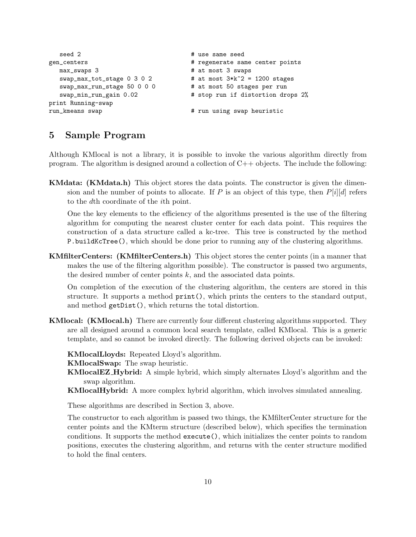```
seed 2 # use same seed
gen_centers \qquad # regenerate same center points
  max_swaps 3 \qquad # at most 3 swaps
  swap_max\_tot\_stage 0 3 0 2 # at most 3*k^2 = 1200 stages
  swap_max_run_stage 50 0 0 0 0 # at most 50 stages per run
  swap_min_run_gain 0.02 # stop run if distortion drops 2%
print Running-swap
run_kmeans swap \qquad \qquad \qquad \qquad \qquad \text{# run using swap heuristic}
```
## **5 Sample Program**

Although KMlocal is not a library, it is possible to invoke the various algorithm directly from program. The algorithm is designed around a collection of  $C++$  objects. The include the following:

**KMdata: (KMdata.h)** This object stores the data points. The constructor is given the dimension and the number of points to allocate. If P is an object of this type, then  $P[i][d]$  refers to the dth coordinate of the ith point.

One the key elements to the efficiency of the algorithms presented is the use of the filtering algorithm for computing the nearest cluster center for each data point. This requires the construction of a data structure called a kc-tree. This tree is constructed by the method P.buildKcTree(), which should be done prior to running any of the clustering algorithms.

**KMfilterCenters: (KMfilterCenters.h)** This object stores the center points (in a manner that makes the use of the filtering algorithm possible). The constructor is passed two arguments, the desired number of center points  $k$ , and the associated data points.

On completion of the execution of the clustering algorithm, the centers are stored in this structure. It supports a method print(), which prints the centers to the standard output, and method getDist(), which returns the total distortion.

**KMlocal: (KMlocal.h)** There are currently four different clustering algorithms supported. They are all designed around a common local search template, called KMlocal. This is a generic template, and so cannot be invoked directly. The following derived objects can be invoked:

**KMlocalLloyds:** Repeated Lloyd's algorithm.

**KMlocalSwap:** The swap heuristic.

- **KMlocalEZ Hybrid:** A simple hybrid, which simply alternates Lloyd's algorithm and the swap algorithm.
- **KMlocalHybrid:** A more complex hybrid algorithm, which involves simulated annealing.

These algorithms are described in Section 3, above.

The constructor to each algorithm is passed two things, the KMfilterCenter structure for the center points and the KMterm structure (described below), which specifies the termination conditions. It supports the method execute(), which initializes the center points to random positions, executes the clustering algorithm, and returns with the center structure modified to hold the final centers.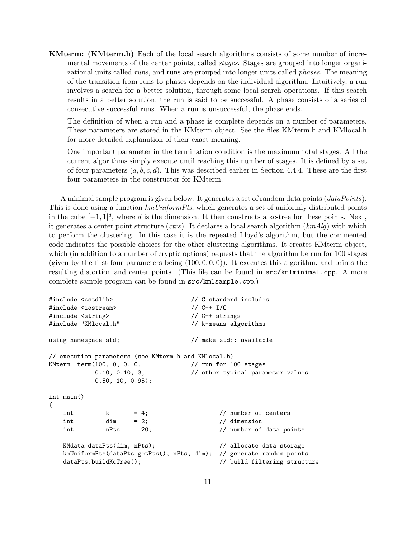**KMterm: (KMterm.h)** Each of the local search algorithms consists of some number of incremental movements of the center points, called *stages*. Stages are grouped into longer organizational units called *runs*, and runs are grouped into longer units called *phases*. The meaning of the transition from runs to phases depends on the individual algorithm. Intuitively, a run involves a search for a better solution, through some local search operations. If this search results in a better solution, the run is said to be successful. A phase consists of a series of consecutive successful runs. When a run is unsuccessful, the phase ends.

The definition of when a run and a phase is complete depends on a number of parameters. These parameters are stored in the KMterm object. See the files KMterm.h and KMlocal.h for more detailed explanation of their exact meaning.

One important parameter in the termination condition is the maximum total stages. All the current algorithms simply execute until reaching this number of stages. It is defined by a set of four parameters  $(a, b, c, d)$ . This was described earlier in Section 4.4.4. These are the first four parameters in the constructor for KMterm.

A minimal sample program is given below. It generates a set of random data points (*dataPoints*). This is done using a function *kmUniformPts*, which generates a set of uniformly distributed points in the cube  $[-1, 1]^d$ , where d is the dimension. It then constructs a kc-tree for these points. Next, it generates a center point structure (*ctrs*). It declares a local search algorithm (*kmAlg*) with which to perform the clustering. In this case it is the repeated Lloyd's algorithm, but the commented code indicates the possible choices for the other clustering algorithms. It creates KMterm object, which (in addition to a number of cryptic options) requests that the algorithm be run for 100 stages (given by the first four parameters being  $(100, 0, 0, 0)$ ). It executes this algorithm, and prints the resulting distortion and center points. (This file can be found in  $src/kmliminma1.cpp$ . A more complete sample program can be found in src/kmlsample.cpp.)

```
#include <cstdlib> // C standard includes
#include <iostream> // C++ I/O
#include <string> // C++ strings
#include "KMlocal.h" // k-means algorithms
using namespace std; \frac{1}{2} make std:: available
// execution parameters (see KMterm.h and KMlocal.h)
KMterm term(100, 0, 0, 0, 0, // run for 100 stages
          0.10, 0.10, 3, \frac{1}{\sqrt{2}} other typical parameter values
          0.50, 10, 0.95);
int main()
{
   int k = 4; \frac{1}{2} // number of centers
   int dim = 2; // dimension
   int mPts = 20; // number of data points
   KMdata dataPts(dim, nPts); \frac{1}{2} // allocate data storage
   kmUniformPts(dataPts.getPts(), nPts, dim); // generate random points
   dataPts.buildKcTree(); \frac{1}{2} build filtering structure
```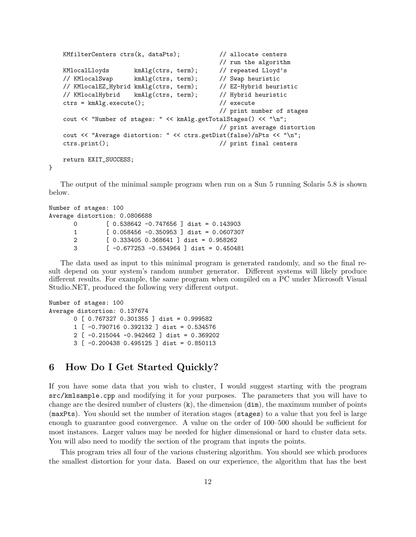```
KMfilterCenters ctrs(k, dataPts); // allocate centers
                                      // run the algorithm
KMlocalLloyds kmAlg(ctrs, term); // repeated Lloyd's
// KMlocalSwap kmAlg(ctrs, term); // Swap heuristic
// KMlocalEZ_Hybrid kmAlg(ctrs, term); // EZ-Hybrid heuristic
// KMlocalHybrid kmAlg(ctrs, term); // Hybrid heuristic
ctrs = kmAlg.execute(); // execute
                                      // print number of stages
cout << "Number of stages: " << kmAlg.getTotalStages() << "\n";
                                      // print average distortion
cout << "Average distortion: " << ctrs.getDist(false)/nPts << "\n";
ctrs.print(); // print final centers
return EXIT_SUCCESS;
```
}

The output of the minimal sample program when run on a Sun 5 running Solaris 5.8 is shown below.

```
Number of stages: 100
Average distortion: 0.0806688
      0 [ 0.538642 -0.747656 ] dist = 0.143903
      1 [ 0.058456 -0.350953 ] dist = 0.0607307
      2 [ 0.333405 0.368641 ] dist = 0.958262
      3 [ -0.677253 -0.534964 ] dist = 0.450481
```
The data used as input to this minimal program is generated randomly, and so the final result depend on your system's random number generator. Different systems will likely produce different results. For example, the same program when compiled on a PC under Microsoft Visual Studio.NET, produced the following very different output.

```
Number of stages: 100
Average distortion: 0.137674
       0 [ 0.767327 0.301355 ] dist = 0.999582
       1 [ -0.790716 0.392132 ] dist = 0.534576
       2 [ -0.215044 -0.942462 ] dist = 0.369202
       3 [ -0.200438 0.495125 ] dist = 0.850113
```
## **6 How Do I Get Started Quickly?**

If you have some data that you wish to cluster, I would suggest starting with the program src/kmlsample.cpp and modifying it for your purposes. The parameters that you will have to change are the desired number of clusters  $(k)$ , the dimension  $(\dim)$ , the maximum number of points (maxPts). You should set the number of iteration stages (stages) to a value that you feel is large enough to guarantee good convergence. A value on the order of 100–500 should be sufficient for most instances. Larger values may be needed for higher dimensional or hard to cluster data sets. You will also need to modify the section of the program that inputs the points.

This program tries all four of the various clustering algorithm. You should see which produces the smallest distortion for your data. Based on our experience, the algorithm that has the best